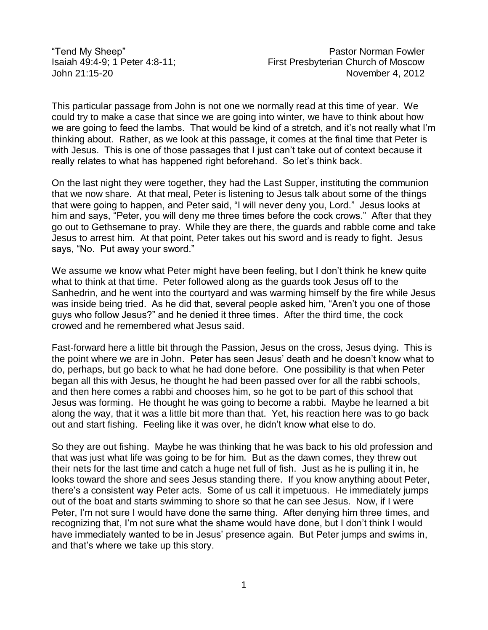Tend My Sheep" Pastor Norman Fowler<br>Isaiah 49:4-9: 1 Peter 4:8-11: First Presbvterian Church of Moscow Isaiah 49:4-9; 1 Peter 4:8-11; First Presbyterian Church of Moscow John 21:15-20 November 4, 2012

This particular passage from John is not one we normally read at this time of year. We could try to make a case that since we are going into winter, we have to think about how we are going to feed the lambs. That would be kind of a stretch, and it's not really what I'm thinking about. Rather, as we look at this passage, it comes at the final time that Peter is with Jesus. This is one of those passages that I just can't take out of context because it really relates to what has happened right beforehand. So let's think back.

On the last night they were together, they had the Last Supper, instituting the communion that we now share. At that meal, Peter is listening to Jesus talk about some of the things that were going to happen, and Peter said, "I will never deny you, Lord." Jesus looks at him and says, "Peter, you will deny me three times before the cock crows." After that they go out to Gethsemane to pray. While they are there, the guards and rabble come and take Jesus to arrest him. At that point, Peter takes out his sword and is ready to fight. Jesus says, "No. Put away your sword."

We assume we know what Peter might have been feeling, but I don't think he knew quite what to think at that time. Peter followed along as the guards took Jesus off to the Sanhedrin, and he went into the courtyard and was warming himself by the fire while Jesus was inside being tried. As he did that, several people asked him, "Aren't you one of those guys who follow Jesus?" and he denied it three times. After the third time, the cock crowed and he remembered what Jesus said.

Fast-forward here a little bit through the Passion, Jesus on the cross, Jesus dying. This is the point where we are in John. Peter has seen Jesus' death and he doesn't know what to do, perhaps, but go back to what he had done before. One possibility is that when Peter began all this with Jesus, he thought he had been passed over for all the rabbi schools, and then here comes a rabbi and chooses him, so he got to be part of this school that Jesus was forming. He thought he was going to become a rabbi. Maybe he learned a bit along the way, that it was a little bit more than that. Yet, his reaction here was to go back out and start fishing. Feeling like it was over, he didn't know what else to do.

So they are out fishing. Maybe he was thinking that he was back to his old profession and that was just what life was going to be for him. But as the dawn comes, they threw out their nets for the last time and catch a huge net full of fish. Just as he is pulling it in, he looks toward the shore and sees Jesus standing there. If you know anything about Peter, there's a consistent way Peter acts. Some of us call it impetuous. He immediately jumps out of the boat and starts swimming to shore so that he can see Jesus. Now, if I were Peter, I'm not sure I would have done the same thing. After denying him three times, and recognizing that, I'm not sure what the shame would have done, but I don't think I would have immediately wanted to be in Jesus' presence again. But Peter jumps and swims in, and that's where we take up this story.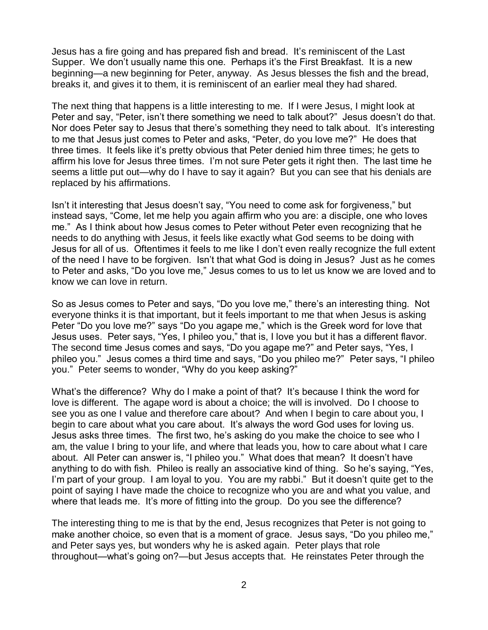Jesus has a fire going and has prepared fish and bread. It's reminiscent of the Last Supper. We don't usually name this one. Perhaps it's the First Breakfast. It is a new beginning—a new beginning for Peter, anyway. As Jesus blesses the fish and the bread, breaks it, and gives it to them, it is reminiscent of an earlier meal they had shared.

The next thing that happens is a little interesting to me. If I were Jesus, I might look at Peter and say, "Peter, isn't there something we need to talk about?" Jesus doesn't do that. Nor does Peter say to Jesus that there's something they need to talk about. It's interesting to me that Jesus just comes to Peter and asks, "Peter, do you love me?" He does that three times. It feels like it's pretty obvious that Peter denied him three times; he gets to affirm his love for Jesus three times. I'm not sure Peter gets it right then. The last time he seems a little put out—why do I have to say it again? But you can see that his denials are replaced by his affirmations.

Isn't it interesting that Jesus doesn't say, "You need to come ask for forgiveness," but instead says, "Come, let me help you again affirm who you are: a disciple, one who loves me." As I think about how Jesus comes to Peter without Peter even recognizing that he needs to do anything with Jesus, it feels like exactly what God seems to be doing with Jesus for all of us. Oftentimes it feels to me like I don't even really recognize the full extent of the need I have to be forgiven. Isn't that what God is doing in Jesus? Just as he comes to Peter and asks, "Do you love me," Jesus comes to us to let us know we are loved and to know we can love in return.

So as Jesus comes to Peter and says, "Do you love me," there's an interesting thing. Not everyone thinks it is that important, but it feels important to me that when Jesus is asking Peter "Do you love me?" says "Do you agape me," which is the Greek word for love that Jesus uses. Peter says, "Yes, I phileo you," that is, I love you but it has a different flavor. The second time Jesus comes and says, "Do you agape me?" and Peter says, "Yes, I phileo you." Jesus comes a third time and says, "Do you phileo me?" Peter says, "I phileo you." Peter seems to wonder, "Why do you keep asking?"

What's the difference? Why do I make a point of that? It's because I think the word for love is different. The agape word is about a choice; the will is involved. Do I choose to see you as one I value and therefore care about? And when I begin to care about you, I begin to care about what you care about. It's always the word God uses for loving us. Jesus asks three times. The first two, he's asking do you make the choice to see who I am, the value I bring to your life, and where that leads you, how to care about what I care about. All Peter can answer is, "I phileo you." What does that mean? It doesn't have anything to do with fish. Phileo is really an associative kind of thing. So he's saying, "Yes, I'm part of your group. I am loyal to you. You are my rabbi." But it doesn't quite get to the point of saying I have made the choice to recognize who you are and what you value, and where that leads me. It's more of fitting into the group. Do you see the difference?

The interesting thing to me is that by the end, Jesus recognizes that Peter is not going to make another choice, so even that is a moment of grace. Jesus says, "Do you phileo me," and Peter says yes, but wonders why he is asked again. Peter plays that role throughout—what's going on?—but Jesus accepts that. He reinstates Peter through the